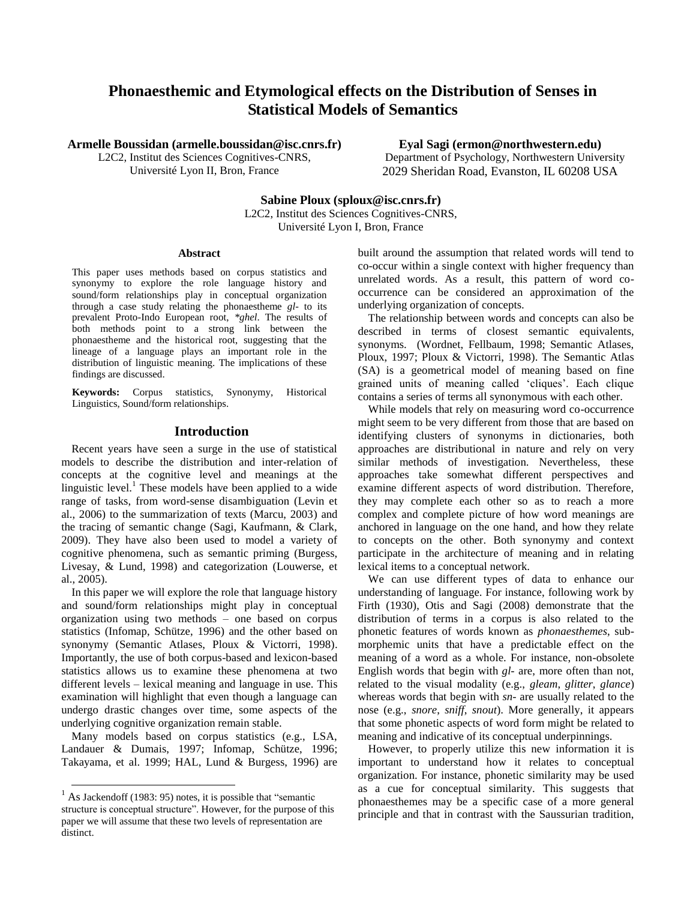# **Phonaesthemic and Etymological effects on the Distribution of Senses in Statistical Models of Semantics**

**Armelle Boussidan (armelle.boussidan@isc.cnrs.fr)**

L2C2, Institut des Sciences Cognitives-CNRS, Université Lyon II, Bron, France

**Eyal Sagi (ermon@northwestern.edu)** Department of Psychology, Northwestern University 2029 Sheridan Road, Evanston, IL 60208 USA

**Sabine Ploux (sploux@isc.cnrs.fr)** L2C2, Institut des Sciences Cognitives-CNRS,

Université Lyon I, Bron, France

#### **Abstract**

This paper uses methods based on corpus statistics and synonymy to explore the role language history and sound/form relationships play in conceptual organization through a case study relating the phonaestheme *gl-* to its prevalent Proto-Indo European root, *\*ghel*. The results of both methods point to a strong link between the phonaestheme and the historical root, suggesting that the lineage of a language plays an important role in the distribution of linguistic meaning. The implications of these findings are discussed.

**Keywords:** Corpus statistics, Synonymy, Historical Linguistics, Sound/form relationships.

#### **Introduction**

Recent years have seen a surge in the use of statistical models to describe the distribution and inter-relation of concepts at the cognitive level and meanings at the linguistic level.<sup>1</sup> These models have been applied to a wide range of tasks, from word-sense disambiguation (Levin et al., 2006) to the summarization of texts (Marcu, 2003) and the tracing of semantic change (Sagi, Kaufmann, & Clark, 2009). They have also been used to model a variety of cognitive phenomena, such as semantic priming (Burgess, Livesay, & Lund, 1998) and categorization (Louwerse, et al., 2005).

In this paper we will explore the role that language history and sound/form relationships might play in conceptual organization using two methods – one based on corpus statistics (Infomap, Schütze, 1996) and the other based on synonymy (Semantic Atlases, Ploux & Victorri, 1998). Importantly, the use of both corpus-based and lexicon-based statistics allows us to examine these phenomena at two different levels – lexical meaning and language in use. This examination will highlight that even though a language can undergo drastic changes over time, some aspects of the underlying cognitive organization remain stable.

Many models based on corpus statistics (e.g., LSA, Landauer & Dumais, 1997; Infomap, Schütze, 1996; Takayama, et al. 1999; HAL, Lund & Burgess, 1996) are

 $\overline{a}$ 

built around the assumption that related words will tend to co-occur within a single context with higher frequency than unrelated words. As a result, this pattern of word cooccurrence can be considered an approximation of the underlying organization of concepts.

The relationship between words and concepts can also be described in terms of closest semantic equivalents, synonyms. (Wordnet, Fellbaum, 1998; Semantic Atlases, Ploux, 1997; Ploux & Victorri, 1998). The Semantic Atlas (SA) is a geometrical model of meaning based on fine grained units of meaning called "cliques". Each clique contains a series of terms all synonymous with each other.

While models that rely on measuring word co-occurrence might seem to be very different from those that are based on identifying clusters of synonyms in dictionaries, both approaches are distributional in nature and rely on very similar methods of investigation. Nevertheless, these approaches take somewhat different perspectives and examine different aspects of word distribution. Therefore, they may complete each other so as to reach a more complex and complete picture of how word meanings are anchored in language on the one hand, and how they relate to concepts on the other. Both synonymy and context participate in the architecture of meaning and in relating lexical items to a conceptual network.

We can use different types of data to enhance our understanding of language. For instance, following work by Firth (1930), Otis and Sagi (2008) demonstrate that the distribution of terms in a corpus is also related to the phonetic features of words known as *phonaesthemes*, submorphemic units that have a predictable effect on the meaning of a word as a whole. For instance, non-obsolete English words that begin with *gl-* are, more often than not, related to the visual modality (e.g., *gleam*, *glitter*, *glance*) whereas words that begin with *sn-* are usually related to the nose (e.g., *snore*, *sniff*, *snout*). More generally, it appears that some phonetic aspects of word form might be related to meaning and indicative of its conceptual underpinnings.

However, to properly utilize this new information it is important to understand how it relates to conceptual organization. For instance, phonetic similarity may be used as a cue for conceptual similarity. This suggests that phonaesthemes may be a specific case of a more general principle and that in contrast with the Saussurian tradition,

 $<sup>1</sup>$  As Jackendoff (1983: 95) notes, it is possible that "semantic</sup> structure is conceptual structure". However, for the purpose of this paper we will assume that these two levels of representation are distinct.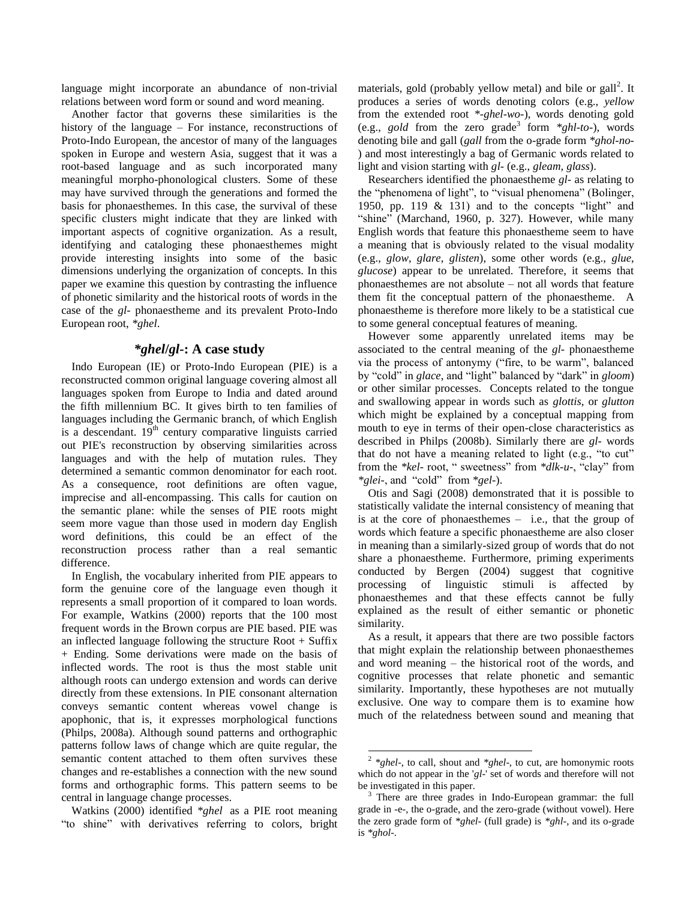language might incorporate an abundance of non-trivial relations between word form or sound and word meaning.

Another factor that governs these similarities is the history of the language – For instance, reconstructions of Proto-Indo European, the ancestor of many of the languages spoken in Europe and western Asia, suggest that it was a root-based language and as such incorporated many meaningful morpho-phonological clusters. Some of these may have survived through the generations and formed the basis for phonaesthemes. In this case, the survival of these specific clusters might indicate that they are linked with important aspects of cognitive organization. As a result, identifying and cataloging these phonaesthemes might provide interesting insights into some of the basic dimensions underlying the organization of concepts. In this paper we examine this question by contrasting the influence of phonetic similarity and the historical roots of words in the case of the *gl-* phonaestheme and its prevalent Proto-Indo European root, *\*ghel*.

### *\*ghel***/***gl-***: A case study**

Indo European (IE) or Proto-Indo European (PIE) is a reconstructed common original language covering almost all languages spoken from Europe to India and dated around the fifth millennium BC. It gives birth to ten families of languages including the Germanic branch, of which English is a descendant.  $19<sup>th</sup>$  century comparative linguists carried out PIE's reconstruction by observing similarities across languages and with the help of mutation rules. They determined a semantic common denominator for each root. As a consequence, root definitions are often vague, imprecise and all-encompassing. This calls for caution on the semantic plane: while the senses of PIE roots might seem more vague than those used in modern day English word definitions, this could be an effect of the reconstruction process rather than a real semantic difference.

In English, the vocabulary inherited from PIE appears to form the genuine core of the language even though it represents a small proportion of it compared to loan words. For example, Watkins (2000) reports that the 100 most frequent words in the Brown corpus are PIE based. PIE was an inflected language following the structure Root + Suffix + Ending. Some derivations were made on the basis of inflected words. The root is thus the most stable unit although roots can undergo extension and words can derive directly from these extensions. In PIE consonant alternation conveys semantic content whereas vowel change is apophonic, that is, it expresses morphological functions (Philps, 2008a). Although sound patterns and orthographic patterns follow laws of change which are quite regular, the semantic content attached to them often survives these changes and re-establishes a connection with the new sound forms and orthographic forms. This pattern seems to be central in language change processes.

Watkins (2000) identified *\*ghel* as a PIE root meaning "to shine" with derivatives referring to colors, bright

materials, gold (probably yellow metal) and bile or gall<sup>2</sup>. It produces a series of words denoting colors (e.g., *yellow* from the extended root *\*-ghel-wo-*), words denoting gold (e.g., *gold* from the zero grade<sup>3</sup> form  $*ghl-to-$ ), words denoting bile and gall (*gall* from the o-grade form *\*ghol-no-* ) and most interestingly a bag of Germanic words related to light and vision starting with *gl-* (e.g., *gleam, glass*).

Researchers identified the phonaestheme *gl-* as relating to the "phenomena of light", to "visual phenomena" (Bolinger, 1950, pp. 119 & 131) and to the concepts "light" and "shine" (Marchand, 1960, p. 327). However, while many English words that feature this phonaestheme seem to have a meaning that is obviously related to the visual modality (e.g., *glow*, *glare*, *glisten*), some other words (e.g., *glue*, *glucose*) appear to be unrelated. Therefore, it seems that phonaesthemes are not absolute – not all words that feature them fit the conceptual pattern of the phonaestheme. A phonaestheme is therefore more likely to be a statistical cue to some general conceptual features of meaning.

However some apparently unrelated items may be associated to the central meaning of the *gl-* phonaestheme via the process of antonymy ("fire, to be warm", balanced by "cold" in *glace*, and "light" balanced by "dark" in *gloom*) or other similar processes. Concepts related to the tongue and swallowing appear in words such as *glottis*, or *glutton* which might be explained by a conceptual mapping from mouth to eye in terms of their open-close characteristics as described in Philps (2008b). Similarly there are *gl-* words that do not have a meaning related to light (e.g., "to cut" from the *\*kel-* root, " sweetness" from *\*dlk-u-*, "clay" from *\*glei-*, and "cold" from *\*gel-*).

Otis and Sagi (2008) demonstrated that it is possible to statistically validate the internal consistency of meaning that is at the core of phonaesthemes – i.e., that the group of words which feature a specific phonaestheme are also closer in meaning than a similarly-sized group of words that do not share a phonaestheme. Furthermore, priming experiments conducted by Bergen (2004) suggest that cognitive processing of linguistic stimuli is affected by phonaesthemes and that these effects cannot be fully explained as the result of either semantic or phonetic similarity.

As a result, it appears that there are two possible factors that might explain the relationship between phonaesthemes and word meaning – the historical root of the words, and cognitive processes that relate phonetic and semantic similarity. Importantly, these hypotheses are not mutually exclusive. One way to compare them is to examine how much of the relatedness between sound and meaning that

 2 *\*ghel-*, to call, shout and *\*ghel-*, to cut, are homonymic roots which do not appear in the '*gl-*' set of words and therefore will not be investigated in this paper.

<sup>&</sup>lt;sup>3</sup> There are three grades in Indo-European grammar: the full grade in -e-, the o-grade, and the zero-grade (without vowel). Here the zero grade form of *\*ghel-* (full grade) is *\*ghl-*, and its o-grade is *\*ghol-*.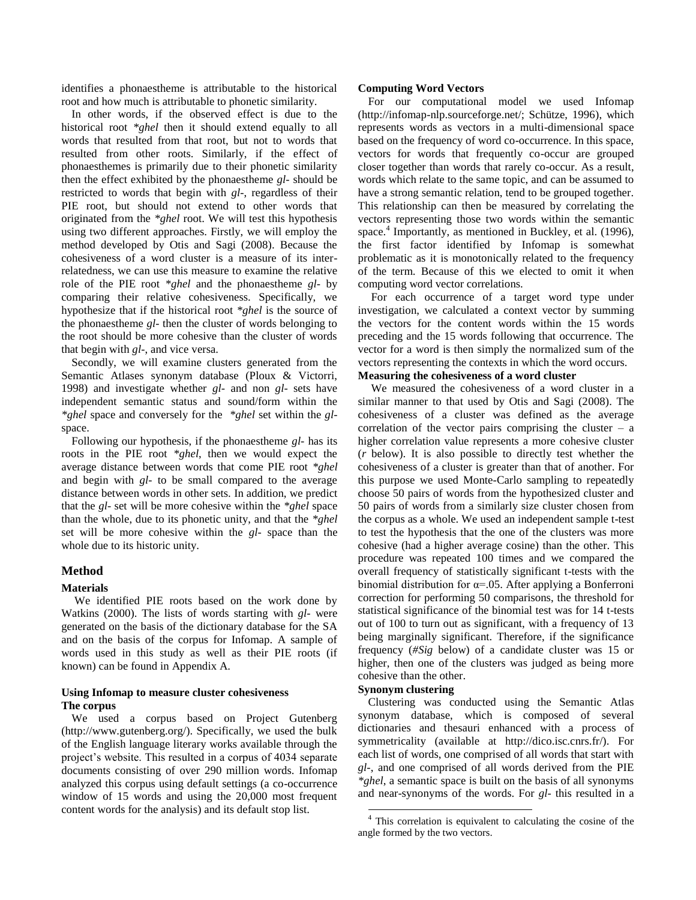identifies a phonaestheme is attributable to the historical root and how much is attributable to phonetic similarity.

In other words, if the observed effect is due to the historical root *\*ghel* then it should extend equally to all words that resulted from that root, but not to words that resulted from other roots. Similarly, if the effect of phonaesthemes is primarily due to their phonetic similarity then the effect exhibited by the phonaestheme *gl-* should be restricted to words that begin with *gl-*, regardless of their PIE root, but should not extend to other words that originated from the *\*ghel* root. We will test this hypothesis using two different approaches. Firstly, we will employ the method developed by Otis and Sagi (2008). Because the cohesiveness of a word cluster is a measure of its interrelatedness, we can use this measure to examine the relative role of the PIE root *\*ghel* and the phonaestheme *gl-* by comparing their relative cohesiveness. Specifically, we hypothesize that if the historical root *\*ghel* is the source of the phonaestheme *gl-* then the cluster of words belonging to the root should be more cohesive than the cluster of words that begin with *gl-*, and vice versa.

Secondly, we will examine clusters generated from the Semantic Atlases synonym database (Ploux & Victorri, 1998) and investigate whether *gl-* and non *gl-* sets have independent semantic status and sound/form within the *\*ghel* space and conversely for the *\*ghel* set within the *gl*space.

Following our hypothesis, if the phonaestheme *gl-* has its roots in the PIE root *\*ghel*, then we would expect the average distance between words that come PIE root *\*ghel* and begin with *gl-* to be small compared to the average distance between words in other sets. In addition, we predict that the *gl-* set will be more cohesive within the *\*ghel* space than the whole, due to its phonetic unity, and that the *\*ghel* set will be more cohesive within the *gl-* space than the whole due to its historic unity.

#### **Method**

#### **Materials**

We identified PIE roots based on the work done by Watkins (2000). The lists of words starting with *gl-* were generated on the basis of the dictionary database for the SA and on the basis of the corpus for Infomap. A sample of words used in this study as well as their PIE roots (if known) can be found in Appendix A.

#### **Using Infomap to measure cluster cohesiveness The corpus**

We used a corpus based on Project Gutenberg (http://www.gutenberg.org/). Specifically, we used the bulk of the English language literary works available through the project"s website. This resulted in a corpus of 4034 separate documents consisting of over 290 million words. Infomap analyzed this corpus using default settings (a co-occurrence window of 15 words and using the 20,000 most frequent content words for the analysis) and its default stop list.

#### **Computing Word Vectors**

For our computational model we used Infomap (http://infomap-nlp.sourceforge.net/; Schütze, 1996), which represents words as vectors in a multi-dimensional space based on the frequency of word co-occurrence. In this space, vectors for words that frequently co-occur are grouped closer together than words that rarely co-occur. As a result, words which relate to the same topic, and can be assumed to have a strong semantic relation, tend to be grouped together. This relationship can then be measured by correlating the vectors representing those two words within the semantic space.<sup>4</sup> Importantly, as mentioned in Buckley, et al. (1996), the first factor identified by Infomap is somewhat problematic as it is monotonically related to the frequency of the term. Because of this we elected to omit it when computing word vector correlations.

For each occurrence of a target word type under investigation, we calculated a context vector by summing the vectors for the content words within the 15 words preceding and the 15 words following that occurrence. The vector for a word is then simply the normalized sum of the vectors representing the contexts in which the word occurs. **Measuring the cohesiveness of a word cluster**

We measured the cohesiveness of a word cluster in a similar manner to that used by Otis and Sagi (2008). The cohesiveness of a cluster was defined as the average correlation of the vector pairs comprising the cluster  $-$  a higher correlation value represents a more cohesive cluster (*r* below). It is also possible to directly test whether the cohesiveness of a cluster is greater than that of another. For this purpose we used Monte-Carlo sampling to repeatedly choose 50 pairs of words from the hypothesized cluster and 50 pairs of words from a similarly size cluster chosen from the corpus as a whole. We used an independent sample t-test to test the hypothesis that the one of the clusters was more cohesive (had a higher average cosine) than the other. This procedure was repeated 100 times and we compared the overall frequency of statistically significant t-tests with the binomial distribution for  $\alpha = 0.05$ . After applying a Bonferroni correction for performing 50 comparisons, the threshold for statistical significance of the binomial test was for 14 t-tests out of 100 to turn out as significant, with a frequency of 13 being marginally significant. Therefore, if the significance frequency (*#Sig* below) of a candidate cluster was 15 or higher, then one of the clusters was judged as being more cohesive than the other.

#### **Synonym clustering**

 $\overline{a}$ 

Clustering was conducted using the Semantic Atlas synonym database, which is composed of several dictionaries and thesauri enhanced with a process of symmetricality (available at http://dico.isc.cnrs.fr/). For each list of words, one comprised of all words that start with *gl-*, and one comprised of all words derived from the PIE *\*ghel*, a semantic space is built on the basis of all synonyms and near-synonyms of the words. For *gl-* this resulted in a

<sup>&</sup>lt;sup>4</sup> This correlation is equivalent to calculating the cosine of the angle formed by the two vectors.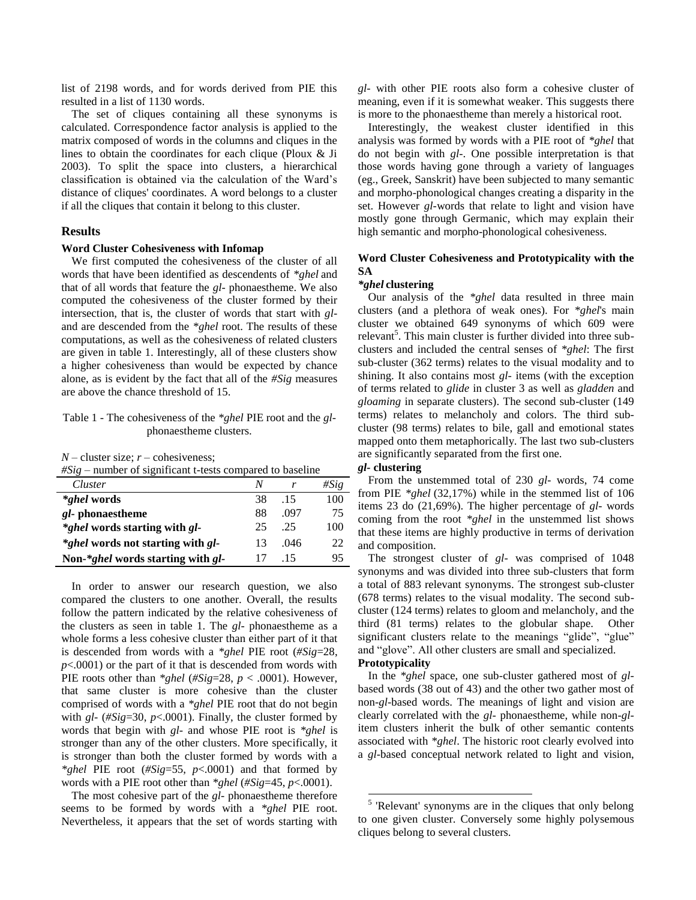list of 2198 words, and for words derived from PIE this resulted in a list of 1130 words.

The set of cliques containing all these synonyms is calculated. Correspondence factor analysis is applied to the matrix composed of words in the columns and cliques in the lines to obtain the coordinates for each clique (Ploux & Ji 2003). To split the space into clusters, a hierarchical classification is obtained via the calculation of the Ward"s distance of cliques' coordinates. A word belongs to a cluster if all the cliques that contain it belong to this cluster.

#### **Results**

#### **Word Cluster Cohesiveness with Infomap**

We first computed the cohesiveness of the cluster of all words that have been identified as descendents of *\*ghel* and that of all words that feature the *gl-* phonaestheme. We also computed the cohesiveness of the cluster formed by their intersection, that is, the cluster of words that start with *gl*and are descended from the *\*ghel* root. The results of these computations, as well as the cohesiveness of related clusters are given in table 1. Interestingly, all of these clusters show a higher cohesiveness than would be expected by chance alone, as is evident by the fact that all of the *#Sig* measures are above the chance threshold of 15.

#### Table 1 - The cohesiveness of the *\*ghel* PIE root and the *gl*phonaestheme clusters.

#### $N$  – cluster size;  $r$  – cohesiveness;

*#Sig* – number of significant t-tests compared to baseline

| Cluster                                      | Ν  |      | #Sig |
|----------------------------------------------|----|------|------|
| <i>*ghel</i> words                           | 38 | .15  | 100  |
| <i>gl</i> -phonaestheme                      | 88 | .097 | 75   |
| <i>*ghel</i> words starting with <i>gl</i> - | 25 | .25  | 100  |
| *ghel words not starting with gl-            | 13 | .046 | 22   |
| Non-*ghel words starting with gl-            |    | -15  | 95   |

In order to answer our research question, we also compared the clusters to one another. Overall, the results follow the pattern indicated by the relative cohesiveness of the clusters as seen in table 1. The *gl-* phonaestheme as a whole forms a less cohesive cluster than either part of it that is descended from words with a *\*ghel* PIE root (*#Sig*=28, *p*<.0001) or the part of it that is descended from words with PIE roots other than *\*ghel* (*#Sig*=28, *p* < .0001). However, that same cluster is more cohesive than the cluster comprised of words with a *\*ghel* PIE root that do not begin with *gl-* (*#Sig*=30, *p*<.0001). Finally, the cluster formed by words that begin with *gl-* and whose PIE root is *\*ghel* is stronger than any of the other clusters. More specifically, it is stronger than both the cluster formed by words with a *\*ghel* PIE root (*#Sig*=55, *p*<.0001) and that formed by words with a PIE root other than *\*ghel* (*#Sig*=45, *p*<.0001).

The most cohesive part of the *gl-* phonaestheme therefore seems to be formed by words with a *\*ghel* PIE root. Nevertheless, it appears that the set of words starting with *gl-* with other PIE roots also form a cohesive cluster of meaning, even if it is somewhat weaker. This suggests there is more to the phonaestheme than merely a historical root.

Interestingly, the weakest cluster identified in this analysis was formed by words with a PIE root of *\*ghel* that do not begin with *gl-*. One possible interpretation is that those words having gone through a variety of languages (eg., Greek, Sanskrit) have been subjected to many semantic and morpho-phonological changes creating a disparity in the set. However *gl-*words that relate to light and vision have mostly gone through Germanic, which may explain their high semantic and morpho-phonological cohesiveness.

#### **Word Cluster Cohesiveness and Prototypicality with the SA**

#### *\*ghel* **clustering**

Our analysis of the *\*ghel* data resulted in three main clusters (and a plethora of weak ones). For *\*ghel*'s main cluster we obtained 649 synonyms of which 609 were relevant<sup>5</sup>. This main cluster is further divided into three subclusters and included the central senses of *\*ghel*: The first sub-cluster (362 terms) relates to the visual modality and to shining. It also contains most *gl-* items (with the exception of terms related to *glide* in cluster 3 as well as *gladden* and *gloaming* in separate clusters). The second sub-cluster (149 terms) relates to melancholy and colors. The third subcluster (98 terms) relates to bile, gall and emotional states mapped onto them metaphorically. The last two sub-clusters are significantly separated from the first one.

#### *gl-* **clustering**

From the unstemmed total of 230 *gl-* words, 74 come from PIE *\*ghel* (32,17%) while in the stemmed list of 106 items 23 do (21,69%). The higher percentage of *gl-* words coming from the root *\*ghel* in the unstemmed list shows that these items are highly productive in terms of derivation and composition.

The strongest cluster of *gl-* was comprised of 1048 synonyms and was divided into three sub-clusters that form a total of 883 relevant synonyms. The strongest sub-cluster (678 terms) relates to the visual modality. The second subcluster (124 terms) relates to gloom and melancholy, and the third (81 terms) relates to the globular shape. Other significant clusters relate to the meanings "glide", "glue" and "glove". All other clusters are small and specialized. **Prototypicality**

l

In the *\*ghel* space, one sub-cluster gathered most of *gl*based words (38 out of 43) and the other two gather most of non-*gl-*based words. The meanings of light and vision are clearly correlated with the *gl-* phonaestheme, while non-*gl*item clusters inherit the bulk of other semantic contents associated with *\*ghel*. The historic root clearly evolved into a *gl-*based conceptual network related to light and vision,

<sup>&</sup>lt;sup>5</sup> 'Relevant' synonyms are in the cliques that only belong to one given cluster. Conversely some highly polysemous cliques belong to several clusters.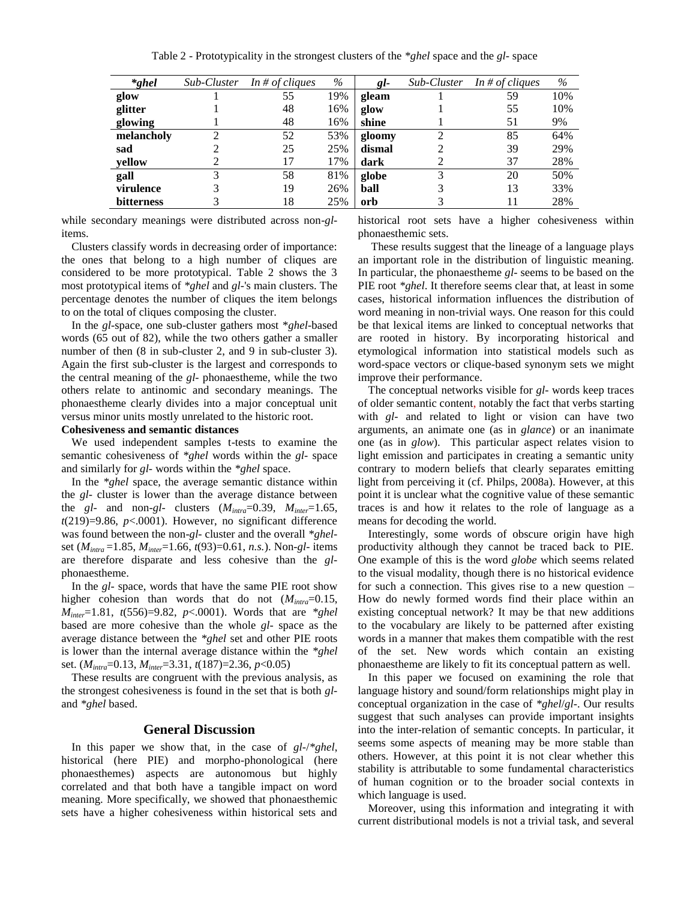Table 2 - Prototypicality in the strongest clusters of the *\*ghel* space and the *gl-* space

| $*ghel$           | Sub-Cluster | In # of cliques | $\%$ | gl-    | Sub-Cluster | In # of cliques | %   |
|-------------------|-------------|-----------------|------|--------|-------------|-----------------|-----|
| glow              |             | 55              | 19%  | gleam  |             | 59              | 10% |
| glitter           |             | 48              | 16%  | glow   |             | 55              | 10% |
| glowing           |             | 48              | 16%  | shine  |             | 51              | 9%  |
| melancholy        |             | 52              | 53%  | gloomy |             | 85              | 64% |
| sad               |             | 25              | 25%  | dismal |             | 39              | 29% |
| yellow            |             | 17              | 17%  | dark   |             | 37              | 28% |
| gall              | 3           | 58              | 81%  | globe  | 3           | 20              | 50% |
| virulence         |             | 19              | 26%  | ball   |             | 13              | 33% |
| <b>bitterness</b> |             | 18              | 25%  | orb    |             | 11              | 28% |

while secondary meanings were distributed across non-*gl*items.

Clusters classify words in decreasing order of importance: the ones that belong to a high number of cliques are considered to be more prototypical. Table 2 shows the 3 most prototypical items of *\*ghel* and *gl-*'s main clusters. The percentage denotes the number of cliques the item belongs to on the total of cliques composing the cluster.

In the *gl-*space, one sub-cluster gathers most \**ghel-*based words (65 out of 82), while the two others gather a smaller number of then  $(8 \text{ in sub-cluster 2, and 9 in sub-cluster 3}).$ Again the first sub-cluster is the largest and corresponds to the central meaning of the *gl-* phonaestheme, while the two others relate to antinomic and secondary meanings. The phonaestheme clearly divides into a major conceptual unit versus minor units mostly unrelated to the historic root.

### **Cohesiveness and semantic distances**

We used independent samples t-tests to examine the semantic cohesiveness of *\*ghel* words within the *gl-* space and similarly for *gl-* words within the *\*ghel* space.

In the *\*ghel* space, the average semantic distance within the *gl-* cluster is lower than the average distance between the *gl-* and non-*gl-* clusters (*Mintra*=0.39, *Minter*=1.65,  $t(219)=9.86$ ,  $p<.0001$ ). However, no significant difference was found between the non-*gl-* cluster and the overall *\*ghel*set (*Mintra* =1.85, *Minter*=1.66, *t*(93)=0.61, *n.s.*). Non-*gl-* items are therefore disparate and less cohesive than the *gl*phonaestheme.

In the *gl-* space, words that have the same PIE root show higher cohesion than words that do not (*Mintra*=0.15, *Minter*=1.81, *t*(556)=9.82, *p*<.0001). Words that are *\*ghel* based are more cohesive than the whole *gl-* space as the average distance between the *\*ghel* set and other PIE roots is lower than the internal average distance within the *\*ghel* set. (*Mintra*=0.13, *Minter*=3.31, *t*(187)=2.36, *p*<0.05)

These results are congruent with the previous analysis, as the strongest cohesiveness is found in the set that is both *gl*and *\*ghel* based.

#### **General Discussion**

In this paper we show that, in the case of *gl-*/*\*ghel*, historical (here PIE) and morpho-phonological (here phonaesthemes) aspects are autonomous but highly correlated and that both have a tangible impact on word meaning. More specifically, we showed that phonaesthemic sets have a higher cohesiveness within historical sets and historical root sets have a higher cohesiveness within phonaesthemic sets.

These results suggest that the lineage of a language plays an important role in the distribution of linguistic meaning. In particular, the phonaestheme *gl-* seems to be based on the PIE root *\*ghel*. It therefore seems clear that, at least in some cases, historical information influences the distribution of word meaning in non-trivial ways. One reason for this could be that lexical items are linked to conceptual networks that are rooted in history. By incorporating historical and etymological information into statistical models such as word-space vectors or clique-based synonym sets we might improve their performance.

The conceptual networks visible for *gl-* words keep traces of older semantic content, notably the fact that verbs starting with *gl*- and related to light or vision can have two arguments, an animate one (as in *glance*) or an inanimate one (as in *glow*). This particular aspect relates vision to light emission and participates in creating a semantic unity contrary to modern beliefs that clearly separates emitting light from perceiving it (cf. Philps, 2008a). However, at this point it is unclear what the cognitive value of these semantic traces is and how it relates to the role of language as a means for decoding the world.

Interestingly, some words of obscure origin have high productivity although they cannot be traced back to PIE. One example of this is the word *globe* which seems related to the visual modality, though there is no historical evidence for such a connection. This gives rise to a new question – How do newly formed words find their place within an existing conceptual network? It may be that new additions to the vocabulary are likely to be patterned after existing words in a manner that makes them compatible with the rest of the set. New words which contain an existing phonaestheme are likely to fit its conceptual pattern as well.

In this paper we focused on examining the role that language history and sound/form relationships might play in conceptual organization in the case of *\*ghel*/*gl-*. Our results suggest that such analyses can provide important insights into the inter-relation of semantic concepts. In particular, it seems some aspects of meaning may be more stable than others. However, at this point it is not clear whether this stability is attributable to some fundamental characteristics of human cognition or to the broader social contexts in which language is used.

Moreover, using this information and integrating it with current distributional models is not a trivial task, and several